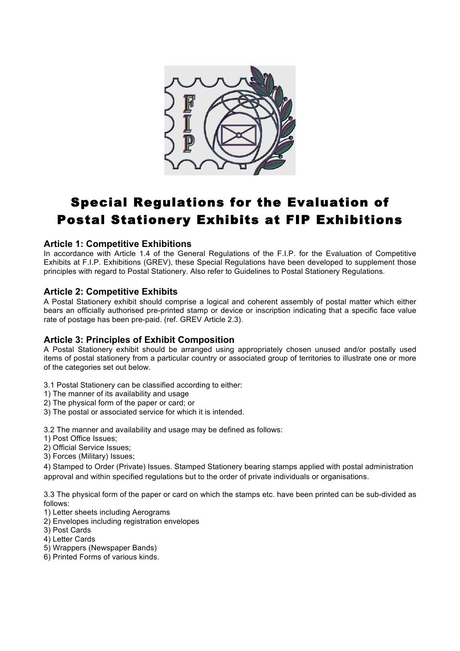

# Special Regulations for the Evaluation of Postal Stationery Exhibits at FIP Exhibitions

#### **Article 1: Competitive Exhibitions**

In accordance with Article 1.4 of the General Regulations of the F.I.P. for the Evaluation of Competitive Exhibits at F.I.P. Exhibitions (GREV), these Special Regulations have been developed to supplement those principles with regard to Postal Stationery. Also refer to Guidelines to Postal Stationery Regulations.

## **Article 2: Competitive Exhibits**

A Postal Stationery exhibit should comprise a logical and coherent assembly of postal matter which either bears an officially authorised pre-printed stamp or device or inscription indicating that a specific face value rate of postage has been pre-paid. (ref. GREV Article 2.3).

## **Article 3: Principles of Exhibit Composition**

A Postal Stationery exhibit should be arranged using appropriately chosen unused and/or postally used items of postal stationery from a particular country or associated group of territories to illustrate one or more of the categories set out below.

3.1 Postal Stationery can be classified according to either:

- 1) The manner of its availability and usage
- 2) The physical form of the paper or card; or
- 3) The postal or associated service for which it is intended.

3.2 The manner and availability and usage may be defined as follows:

- 1) Post Office Issues;
- 2) Official Service Issues;
- 3) Forces (Military) Issues;

4) Stamped to Order (Private) Issues. Stamped Stationery bearing stamps applied with postal administration approval and within specified regulations but to the order of private individuals or organisations.

3.3 The physical form of the paper or card on which the stamps etc. have been printed can be sub-divided as follows:

- 1) Letter sheets including Aerograms
- 2) Envelopes including registration envelopes
- 3) Post Cards
- 4) Letter Cards
- 5) Wrappers (Newspaper Bands)
- 6) Printed Forms of various kinds.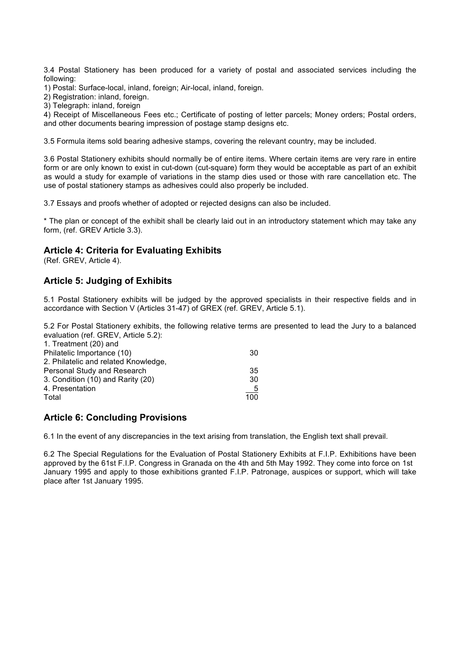3.4 Postal Stationery has been produced for a variety of postal and associated services including the following:

1) Postal: Surface-local, inland, foreign; Air-local, inland, foreign.

2) Registration: inland, foreign.

3) Telegraph: inland, foreign

4) Receipt of Miscellaneous Fees etc.; Certificate of posting of letter parcels; Money orders; Postal orders, and other documents bearing impression of postage stamp designs etc.

3.5 Formula items sold bearing adhesive stamps, covering the relevant country, may be included.

3.6 Postal Stationery exhibits should normally be of entire items. Where certain items are very rare in entire form or are only known to exist in cut-down (cut-square) form they would be acceptable as part of an exhibit as would a study for example of variations in the stamp dies used or those with rare cancellation etc. The use of postal stationery stamps as adhesives could also properly be included.

3.7 Essays and proofs whether of adopted or rejected designs can also be included.

\* The plan or concept of the exhibit shall be clearly laid out in an introductory statement which may take any form, (ref. GREV Article 3.3).

#### **Article 4: Criteria for Evaluating Exhibits**

(Ref. GREV, Article 4).

## **Article 5: Judging of Exhibits**

5.1 Postal Stationery exhibits will be judged by the approved specialists in their respective fields and in accordance with Section V (Articles 31-47) of GREX (ref. GREV, Article 5.1).

5.2 For Postal Stationery exhibits, the following relative terms are presented to lead the Jury to a balanced evaluation (ref. GREV, Article 5.2):

| 30            |
|---------------|
|               |
| 35            |
| 30            |
| $\frac{5}{1}$ |
| 100           |
|               |

## **Article 6: Concluding Provisions**

6.1 In the event of any discrepancies in the text arising from translation, the English text shall prevail.

6.2 The Special Regulations for the Evaluation of Postal Stationery Exhibits at F.I.P. Exhibitions have been approved by the 61st F.I.P. Congress in Granada on the 4th and 5th May 1992. They come into force on 1st January 1995 and apply to those exhibitions granted F.I.P. Patronage, auspices or support, which will take place after 1st January 1995.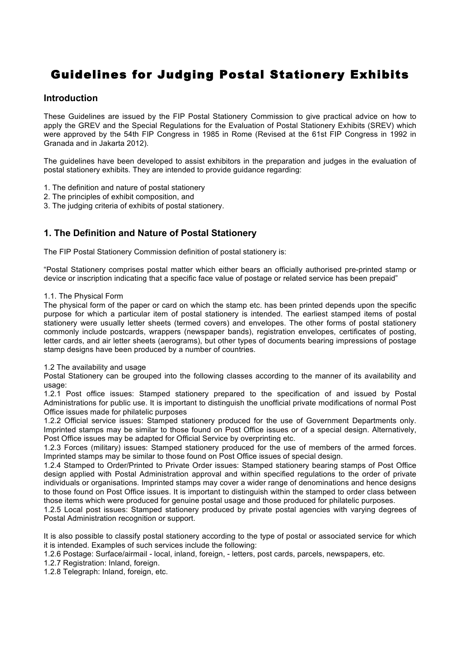## Guidelines for Judging Postal Stationery Exhibits

## **Introduction**

These Guidelines are issued by the FIP Postal Stationery Commission to give practical advice on how to apply the GREV and the Special Regulations for the Evaluation of Postal Stationery Exhibits (SREV) which were approved by the 54th FIP Congress in 1985 in Rome (Revised at the 61st FIP Congress in 1992 in Granada and in Jakarta 2012).

The guidelines have been developed to assist exhibitors in the preparation and judges in the evaluation of postal stationery exhibits. They are intended to provide guidance regarding:

- 1. The definition and nature of postal stationery
- 2. The principles of exhibit composition, and
- 3. The judging criteria of exhibits of postal stationery.

## **1. The Definition and Nature of Postal Stationery**

The FIP Postal Stationery Commission definition of postal stationery is:

"Postal Stationery comprises postal matter which either bears an officially authorised pre-printed stamp or device or inscription indicating that a specific face value of postage or related service has been prepaid"

#### 1.1. The Physical Form

The physical form of the paper or card on which the stamp etc. has been printed depends upon the specific purpose for which a particular item of postal stationery is intended. The earliest stamped items of postal stationery were usually letter sheets (termed covers) and envelopes. The other forms of postal stationery commonly include postcards, wrappers (newspaper bands), registration envelopes, certificates of posting, letter cards, and air letter sheets (aerograms), but other types of documents bearing impressions of postage stamp designs have been produced by a number of countries.

#### 1.2 The availability and usage

Postal Stationery can be grouped into the following classes according to the manner of its availability and usage:

1.2.1 Post office issues: Stamped stationery prepared to the specification of and issued by Postal Administrations for public use. It is important to distinguish the unofficial private modifications of normal Post Office issues made for philatelic purposes

1.2.2 Official service issues: Stamped stationery produced for the use of Government Departments only. Imprinted stamps may be similar to those found on Post Office issues or of a special design. Alternatively, Post Office issues may be adapted for Official Service by overprinting etc.

1.2.3 Forces (military) issues: Stamped stationery produced for the use of members of the armed forces. Imprinted stamps may be similar to those found on Post Office issues of special design.

1.2.4 Stamped to Order/Printed to Private Order issues: Stamped stationery bearing stamps of Post Office design applied with Postal Administration approval and within specified regulations to the order of private individuals or organisations. Imprinted stamps may cover a wider range of denominations and hence designs to those found on Post Office issues. It is important to distinguish within the stamped to order class between those items which were produced for genuine postal usage and those produced for philatelic purposes.

1.2.5 Local post issues: Stamped stationery produced by private postal agencies with varying degrees of Postal Administration recognition or support.

It is also possible to classify postal stationery according to the type of postal or associated service for which it is intended. Examples of such services include the following:

1.2.6 Postage: Surface/airmail - local, inland, foreign, - letters, post cards, parcels, newspapers, etc.

1.2.7 Registration: Inland, foreign.

1.2.8 Telegraph: Inland, foreign, etc.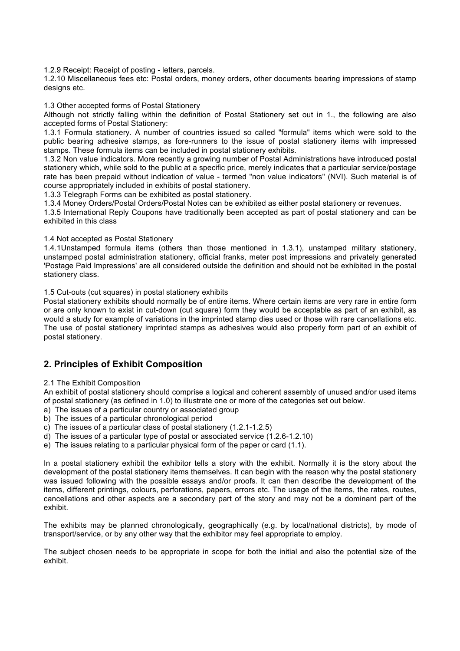1.2.9 Receipt: Receipt of posting - letters, parcels.

1.2.10 Miscellaneous fees etc: Postal orders, money orders, other documents bearing impressions of stamp designs etc.

1.3 Other accepted forms of Postal Stationery

Although not strictly falling within the definition of Postal Stationery set out in 1., the following are also accepted forms of Postal Stationery:

1.3.1 Formula stationery. A number of countries issued so called "formula" items which were sold to the public bearing adhesive stamps, as fore-runners to the issue of postal stationery items with impressed stamps. These formula items can be included in postal stationery exhibits.

1.3.2 Non value indicators. More recently a growing number of Postal Administrations have introduced postal stationery which, while sold to the public at a specific price, merely indicates that a particular service/postage rate has been prepaid without indication of value - termed "non value indicators" (NVI). Such material is of course appropriately included in exhibits of postal stationery.

1.3.3 Telegraph Forms can be exhibited as postal stationery.

1.3.4 Money Orders/Postal Orders/Postal Notes can be exhibited as either postal stationery or revenues.

1.3.5 International Reply Coupons have traditionally been accepted as part of postal stationery and can be exhibited in this class

1.4 Not accepted as Postal Stationery

1.4.1Unstamped formula items (others than those mentioned in 1.3.1), unstamped military stationery, unstamped postal administration stationery, official franks, meter post impressions and privately generated 'Postage Paid Impressions' are all considered outside the definition and should not be exhibited in the postal stationery class.

1.5 Cut-outs (cut squares) in postal stationery exhibits

Postal stationery exhibits should normally be of entire items. Where certain items are very rare in entire form or are only known to exist in cut-down (cut square) form they would be acceptable as part of an exhibit, as would a study for example of variations in the imprinted stamp dies used or those with rare cancellations etc. The use of postal stationery imprinted stamps as adhesives would also properly form part of an exhibit of postal stationery.

## **2. Principles of Exhibit Composition**

#### 2.1 The Exhibit Composition

An exhibit of postal stationery should comprise a logical and coherent assembly of unused and/or used items of postal stationery (as defined in 1.0) to illustrate one or more of the categories set out below.

- a) The issues of a particular country or associated group
- b) The issues of a particular chronological period
- c) The issues of a particular class of postal stationery (1.2.1-1.2.5)
- d) The issues of a particular type of postal or associated service (1.2.6-1.2.10)
- e) The issues relating to a particular physical form of the paper or card (1.1).

In a postal stationery exhibit the exhibitor tells a story with the exhibit. Normally it is the story about the development of the postal stationery items themselves. It can begin with the reason why the postal stationery was issued following with the possible essays and/or proofs. It can then describe the development of the items, different printings, colours, perforations, papers, errors etc. The usage of the items, the rates, routes, cancellations and other aspects are a secondary part of the story and may not be a dominant part of the exhibit.

The exhibits may be planned chronologically, geographically (e.g. by local/national districts), by mode of transport/service, or by any other way that the exhibitor may feel appropriate to employ.

The subject chosen needs to be appropriate in scope for both the initial and also the potential size of the exhibit.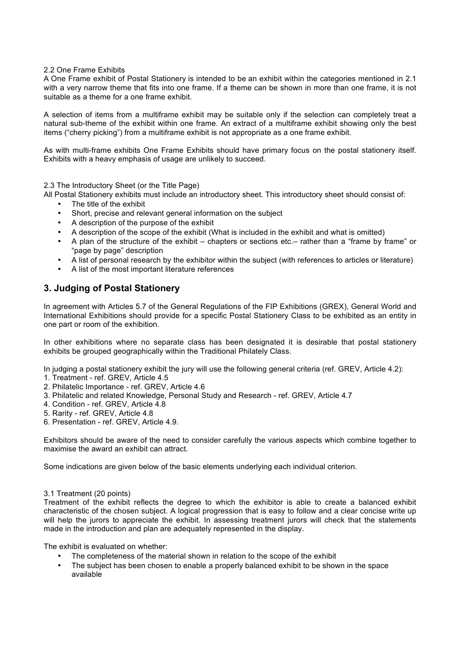#### 2.2 One Frame Exhibits

A One Frame exhibit of Postal Stationery is intended to be an exhibit within the categories mentioned in 2.1 with a very narrow theme that fits into one frame. If a theme can be shown in more than one frame, it is not suitable as a theme for a one frame exhibit.

A selection of items from a multiframe exhibit may be suitable only if the selection can completely treat a natural sub-theme of the exhibit within one frame. An extract of a multiframe exhibit showing only the best items ("cherry picking") from a multiframe exhibit is not appropriate as a one frame exhibit.

As with multi-frame exhibits One Frame Exhibits should have primary focus on the postal stationery itself. Exhibits with a heavy emphasis of usage are unlikely to succeed.

2.3 The Introductory Sheet (or the Title Page)

All Postal Stationery exhibits must include an introductory sheet. This introductory sheet should consist of:

- The title of the exhibit
- Short, precise and relevant general information on the subject
- A description of the purpose of the exhibit
- A description of the scope of the exhibit (What is included in the exhibit and what is omitted)
- A plan of the structure of the exhibit chapters or sections etc.– rather than a "frame by frame" or "page by page" description
- A list of personal research by the exhibitor within the subject (with references to articles or literature)
- A list of the most important literature references

## **3. Judging of Postal Stationery**

In agreement with Articles 5.7 of the General Regulations of the FIP Exhibitions (GREX), General World and International Exhibitions should provide for a specific Postal Stationery Class to be exhibited as an entity in one part or room of the exhibition.

In other exhibitions where no separate class has been designated it is desirable that postal stationery exhibits be grouped geographically within the Traditional Philately Class.

In judging a postal stationery exhibit the jury will use the following general criteria (ref. GREV, Article 4.2):

- 1. Treatment ref. GREV, Article 4.5
- 2. Philatelic Importance ref. GREV, Article 4.6
- 3. Philatelic and related Knowledge, Personal Study and Research ref. GREV, Article 4.7
- 4. Condition ref. GREV, Article 4.8
- 5. Rarity ref. GREV, Article 4.8
- 6. Presentation ref. GREV, Article 4.9.

Exhibitors should be aware of the need to consider carefully the various aspects which combine together to maximise the award an exhibit can attract.

Some indications are given below of the basic elements underlying each individual criterion.

#### 3.1 Treatment (20 points)

Treatment of the exhibit reflects the degree to which the exhibitor is able to create a balanced exhibit characteristic of the chosen subject. A logical progression that is easy to follow and a clear concise write up will help the jurors to appreciate the exhibit. In assessing treatment jurors will check that the statements made in the introduction and plan are adequately represented in the display.

The exhibit is evaluated on whether:

- The completeness of the material shown in relation to the scope of the exhibit
- The subject has been chosen to enable a properly balanced exhibit to be shown in the space available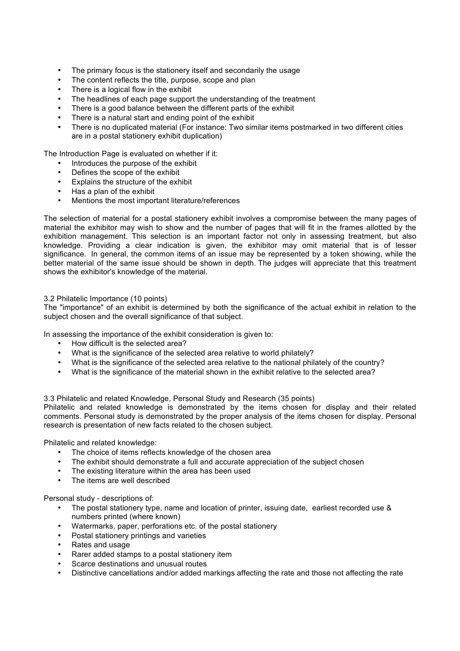- The primary focus is the stationery itself and secondarily the usage
- The content reflects the title, purpose, scope and plan
- There is a logical flow in the exhibit
- The headlines of each page support the understanding of the treatment
- There is a good balance between the different parts of the exhibit
- There is a natural start and ending point of the exhibit
- There is no duplicated material (For instance: Two similar items postmarked in two different cities are in a postal stationery exhibit duplication)

The Introduction Page is evaluated on whether if it:

- Introduces the purpose of the exhibit
- Defines the scope of the exhibit
- Explains the structure of the exhibit
- Has a plan of the exhibit<br>• Mentions the most import
- Mentions the most important literature/references

The selection of material for a postal stationery exhibit involves a compromise between the many pages of material the exhibitor may wish to show and the number of pages that will fit in the frames allotted by the exhibition management. This selection is an important factor not only in assessing treatment, but also knowledge. Providing a clear indication is given, the exhibitor may omit material that is of lesser significance. In general, the common items of an issue may be represented by a token showing, while the better material of the same issue should be shown in depth. The judges will appreciate that this treatment shows the exhibitor's knowledge of the material.

#### 3.2 Philatelic Importance (10 points)

The "importance" of an exhibit is determined by both the significance of the actual exhibit in relation to the subject chosen and the overall significance of that subject.

In assessing the importance of the exhibit consideration is given to:

- How difficult is the selected area?
- What is the significance of the selected area relative to world philately?
- What is the significance of the selected area relative to the national philately of the country?
- What is the significance of the material shown in the exhibit relative to the selected area?

3.3 Philatelic and related Knowledge, Personal Study and Research (35 points)

Philatelic and related knowledge is demonstrated by the items chosen for display and their related comments. Personal study is demonstrated by the proper analysis of the items chosen for display. Personal research is presentation of new facts related to the chosen subject.

Philatelic and related knowledge:

- The choice of items reflects knowledge of the chosen area
- The exhibit should demonstrate a full and accurate appreciation of the subject chosen<br>• The existing literature within the area has been used
- The existing literature within the area has been used
- The items are well described

Personal study - descriptions of:

- The postal stationery type, name and location of printer, issuing date, earliest recorded use & numbers printed (where known)
- Watermarks, paper, perforations etc. of the postal stationery
- Postal stationery printings and varieties
- Rates and usage
- Rarer added stamps to a postal stationery item
- Scarce destinations and unusual routes
- Distinctive cancellations and/or added markings affecting the rate and those not affecting the rate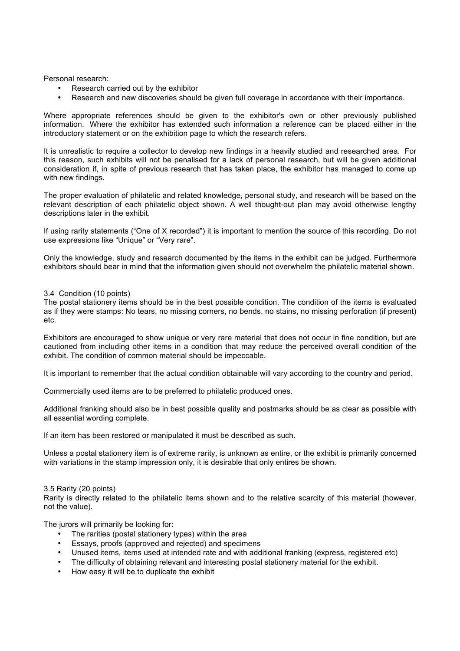Personal research:

- Research carried out by the exhibitor
- Research and new discoveries should be given full coverage in accordance with their importance.

Where appropriate references should be given to the exhibitor's own or other previously published information. Where the exhibitor has extended such information a reference can be placed either in the introductory statement or on the exhibition page to which the research refers.

It is unrealistic to require a collector to develop new findings in a heavily studied and researched area. For this reason, such exhibits will not be penalised for a lack of personal research, but will be given additional consideration if, in spite of previous research that has taken place, the exhibitor has managed to come up with new findings.

The proper evaluation of philatelic and related knowledge, personal study, and research will be based on the relevant description of each philatelic object shown. A well thought-out plan may avoid otherwise lengthy descriptions later in the exhibit.

If using rarity statements ("One of X recorded") it is important to mention the source of this recording. Do not use expressions like "Unique" or "Very rare".

Only the knowledge, study and research documented by the items in the exhibit can be judged. Furthermore exhibitors should bear in mind that the information given should not overwhelm the philatelic material shown.

#### 3.4 Condition (10 points)

The postal stationery items should be in the best possible condition. The condition of the items is evaluated as if they were stamps: No tears, no missing corners, no bends, no stains, no missing perforation (if present) etc.

Exhibitors are encouraged to show unique or very rare material that does not occur in fine condition, but are cautioned from including other items in a condition that may reduce the perceived overall condition of the exhibit. The condition of common material should be impeccable.

It is important to remember that the actual condition obtainable will vary according to the country and period.

Commercially used items are to be preferred to philatelic produced ones.

Additional franking should also be in best possible quality and postmarks should be as clear as possible with all essential wording complete.

If an item has been restored or manipulated it must be described as such.

Unless a postal stationery item is of extreme rarity, is unknown as entire, or the exhibit is primarily concerned with variations in the stamp impression only, it is desirable that only entires be shown.

#### 3.5 Rarity (20 points)

Rarity is directly related to the philatelic items shown and to the relative scarcity of this material (however, not the value).

The jurors will primarily be looking for:

- The rarities (postal stationery types) within the area
- Essays, proofs (approved and rejected) and specimens
- Unused items, items used at intended rate and with additional franking (express, registered etc)
- The difficulty of obtaining relevant and interesting postal stationery material for the exhibit.
- How easy it will be to duplicate the exhibit